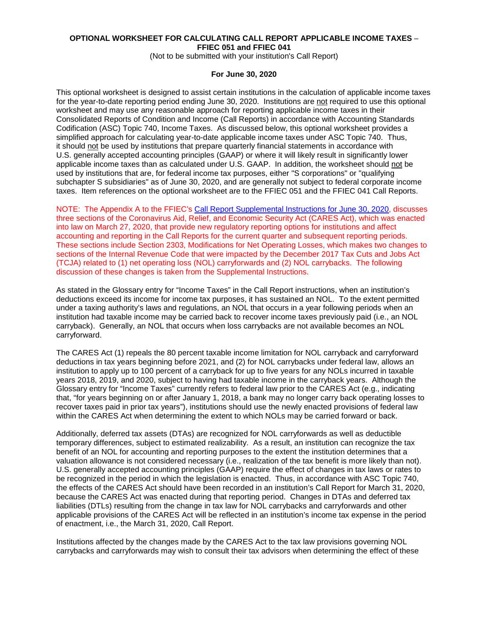## **OPTIONAL WORKSHEET FOR CALCULATING CALL REPORT APPLICABLE INCOME TAXES** – **FFIEC 051 and FFIEC 041**

(Not to be submitted with your institution's Call Report)

#### **For June 30, 2020**

This optional worksheet is designed to assist certain institutions in the calculation of applicable income taxes for the year-to-date reporting period ending June 30, 2020. Institutions are not required to use this optional worksheet and may use any reasonable approach for reporting applicable income taxes in their Consolidated Reports of Condition and Income (Call Reports) in accordance with Accounting Standards Codification (ASC) Topic 740, Income Taxes. As discussed below, this optional worksheet provides a simplified approach for calculating year-to-date applicable income taxes under ASC Topic 740. Thus, it should not be used by institutions that prepare quarterly financial statements in accordance with U.S. generally accepted accounting principles (GAAP) or where it will likely result in significantly lower applicable income taxes than as calculated under U.S. GAAP. In addition, the worksheet should not be used by institutions that are, for federal income tax purposes, either "S corporations" or "qualifying subchapter S subsidiaries" as of June 30, 2020, and are generally not subject to federal corporate income taxes. Item references on the optional worksheet are to the FFIEC 051 and the FFIEC 041 Call Reports.

NOTE: The Appendix A to the FFIEC's [Call Report Supplemental Instructions for June 30, 2020,](https://www.ffiec.gov/pdf/FFIEC_forms/FFIEC031_FFIEC041_FFIEC051_suppinst_202006.pdf) discusses three sections of the Coronavirus Aid, Relief, and Economic Security Act (CARES Act), which was enacted into law on March 27, 2020, that provide new regulatory reporting options for institutions and affect accounting and reporting in the Call Reports for the current quarter and subsequent reporting periods. These sections include Section 2303, Modifications for Net Operating Losses, which makes two changes to sections of the Internal Revenue Code that were impacted by the December 2017 Tax Cuts and Jobs Act (TCJA) related to (1) net operating loss (NOL) carryforwards and (2) NOL carrybacks. The following discussion of these changes is taken from the Supplemental Instructions.

As stated in the Glossary entry for "Income Taxes" in the Call Report instructions, when an institution's deductions exceed its income for income tax purposes, it has sustained an NOL. To the extent permitted under a taxing authority's laws and regulations, an NOL that occurs in a year following periods when an institution had taxable income may be carried back to recover income taxes previously paid (i.e., an NOL carryback). Generally, an NOL that occurs when loss carrybacks are not available becomes an NOL carryforward.

The CARES Act (1) repeals the 80 percent taxable income limitation for NOL carryback and carryforward deductions in tax years beginning before 2021, and (2) for NOL carrybacks under federal law, allows an institution to apply up to 100 percent of a carryback for up to five years for any NOLs incurred in taxable years 2018, 2019, and 2020, subject to having had taxable income in the carryback years. Although the Glossary entry for "Income Taxes" currently refers to federal law prior to the CARES Act (e.g., indicating that, "for years beginning on or after January 1, 2018, a bank may no longer carry back operating losses to recover taxes paid in prior tax years"), institutions should use the newly enacted provisions of federal law within the CARES Act when determining the extent to which NOLs may be carried forward or back.

Additionally, deferred tax assets (DTAs) are recognized for NOL carryforwards as well as deductible temporary differences, subject to estimated realizability. As a result, an institution can recognize the tax benefit of an NOL for accounting and reporting purposes to the extent the institution determines that a valuation allowance is not considered necessary (i.e., realization of the tax benefit is more likely than not). U.S. generally accepted accounting principles (GAAP) require the effect of changes in tax laws or rates to be recognized in the period in which the legislation is enacted. Thus, in accordance with ASC Topic 740, the effects of the CARES Act should have been recorded in an institution's Call Report for March 31, 2020, because the CARES Act was enacted during that reporting period. Changes in DTAs and deferred tax liabilities (DTLs) resulting from the change in tax law for NOL carrybacks and carryforwards and other applicable provisions of the CARES Act will be reflected in an institution's income tax expense in the period of enactment, i.e., the March 31, 2020, Call Report.

Institutions affected by the changes made by the CARES Act to the tax law provisions governing NOL carrybacks and carryforwards may wish to consult their tax advisors when determining the effect of these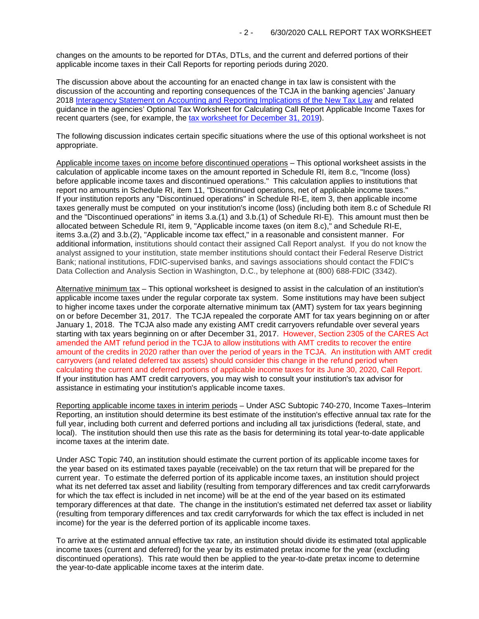changes on the amounts to be reported for DTAs, DTLs, and the current and deferred portions of their applicable income taxes in their Call Reports for reporting periods during 2020.

The discussion above about the accounting for an enacted change in tax law is consistent with the discussion of the accounting and reporting consequences of the TCJA in the banking agencies' January 2018 [Interagency Statement on Accounting and Reporting](https://www.fdic.gov/news/news/financial/2018/fil18006a.pdf) Implications of the New Tax Law and related guidance in the agencies' Optional Tax Worksheet for Calculating Call Report Applicable Income Taxes for recent quarters (see, for example, the [tax worksheet for December 31, 2019\)](https://www.fdic.gov/regulations/resources/call/crinst/2019-12/taxwksht-123119.pdf).

The following discussion indicates certain specific situations where the use of this optional worksheet is not appropriate.

Applicable income taxes on income before discontinued operations – This optional worksheet assists in the calculation of applicable income taxes on the amount reported in Schedule RI, item 8.c, "Income (loss) before applicable income taxes and discontinued operations." This calculation applies to institutions that report no amounts in Schedule RI, item 11, "Discontinued operations, net of applicable income taxes." If your institution reports any "Discontinued operations" in Schedule RI-E, item 3, then applicable income taxes generally must be computed on your institution's income (loss) (including both item 8.c of Schedule RI and the "Discontinued operations" in items 3.a.(1) and 3.b.(1) of Schedule RI-E). This amount must then be allocated between Schedule RI, item 9, "Applicable income taxes (on item 8.c)," and Schedule RI-E, items 3.a.(2) and 3.b.(2), "Applicable income tax effect," in a reasonable and consistent manner. For additional information, institutions should contact their assigned Call Report analyst. If you do not know the analyst assigned to your institution, state member institutions should contact their Federal Reserve District Bank; national institutions, FDIC-supervised banks, and savings associations should contact the FDIC's Data Collection and Analysis Section in Washington, D.C., by telephone at (800) 688-FDIC (3342).

Alternative minimum tax – This optional worksheet is designed to assist in the calculation of an institution's applicable income taxes under the regular corporate tax system. Some institutions may have been subject to higher income taxes under the corporate alternative minimum tax (AMT) system for tax years beginning on or before December 31, 2017. The TCJA repealed the corporate AMT for tax years beginning on or after January 1, 2018. The TCJA also made any existing AMT credit carryovers refundable over several years starting with tax years beginning on or after December 31, 2017. However, Section 2305 of the CARES Act amended the AMT refund period in the TCJA to allow institutions with AMT credits to recover the entire amount of the credits in 2020 rather than over the period of years in the TCJA. An institution with AMT credit carryovers (and related deferred tax assets) should consider this change in the refund period when calculating the current and deferred portions of applicable income taxes for its June 30, 2020, Call Report. If your institution has AMT credit carryovers, you may wish to consult your institution's tax advisor for assistance in estimating your institution's applicable income taxes.

Reporting applicable income taxes in interim periods – Under ASC Subtopic 740-270, Income Taxes–Interim Reporting, an institution should determine its best estimate of the institution's effective annual tax rate for the full year, including both current and deferred portions and including all tax jurisdictions (federal, state, and local). The institution should then use this rate as the basis for determining its total year-to-date applicable income taxes at the interim date.

Under ASC Topic 740, an institution should estimate the current portion of its applicable income taxes for the year based on its estimated taxes payable (receivable) on the tax return that will be prepared for the current year. To estimate the deferred portion of its applicable income taxes, an institution should project what its net deferred tax asset and liability (resulting from temporary differences and tax credit carryforwards for which the tax effect is included in net income) will be at the end of the year based on its estimated temporary differences at that date. The change in the institution's estimated net deferred tax asset or liability (resulting from temporary differences and tax credit carryforwards for which the tax effect is included in net income) for the year is the deferred portion of its applicable income taxes.

To arrive at the estimated annual effective tax rate, an institution should divide its estimated total applicable income taxes (current and deferred) for the year by its estimated pretax income for the year (excluding discontinued operations). This rate would then be applied to the year-to-date pretax income to determine the year-to-date applicable income taxes at the interim date.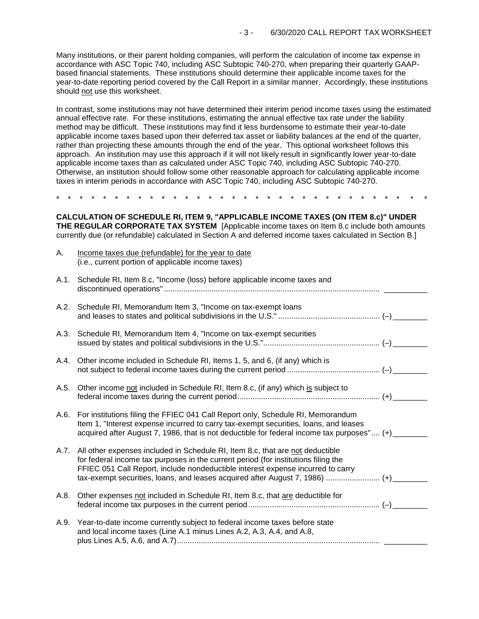Many institutions, or their parent holding companies, will perform the calculation of income tax expense in accordance with ASC Topic 740, including ASC Subtopic 740-270, when preparing their quarterly GAAPbased financial statements. These institutions should determine their applicable income taxes for the year-to-date reporting period covered by the Call Report in a similar manner. Accordingly, these institutions should not use this worksheet.

In contrast, some institutions may not have determined their interim period income taxes using the estimated annual effective rate. For these institutions, estimating the annual effective tax rate under the liability method may be difficult. These institutions may find it less burdensome to estimate their year-to-date applicable income taxes based upon their deferred tax asset or liability balances at the end of the quarter, rather than projecting these amounts through the end of the year. This optional worksheet follows this approach. An institution may use this approach if it will not likely result in significantly lower year-to-date applicable income taxes than as calculated under ASC Topic 740, including ASC Subtopic 740-270. Otherwise, an institution should follow some other reasonable approach for calculating applicable income taxes in interim periods in accordance with ASC Topic 740, including ASC Subtopic 740-270.

\* \* \* \* \* \* \* \* \* \* \* \* \* \* \* \* \* \* \* \* \* \* \* \* \* \* \* \* \* \* \* \*

**CALCULATION OF SCHEDULE RI, ITEM 9, "APPLICABLE INCOME TAXES (ON ITEM 8.c)" UNDER THE REGULAR CORPORATE TAX SYSTEM** [Applicable income taxes on Item 8.c include both amounts currently due (or refundable) calculated in Section A and deferred income taxes calculated in Section B.]

| Α.   | Income taxes due (refundable) for the year to date<br>(i.e., current portion of applicable income taxes)                                                                                                                                                                                                                                        |  |
|------|-------------------------------------------------------------------------------------------------------------------------------------------------------------------------------------------------------------------------------------------------------------------------------------------------------------------------------------------------|--|
| A.1. | Schedule RI, Item 8.c, "Income (loss) before applicable income taxes and                                                                                                                                                                                                                                                                        |  |
|      | A.2. Schedule RI, Memorandum Item 3, "Income on tax-exempt loans                                                                                                                                                                                                                                                                                |  |
| A.3. | Schedule RI, Memorandum Item 4, "Income on tax-exempt securities                                                                                                                                                                                                                                                                                |  |
| A.4. | Other income included in Schedule RI, Items 1, 5, and 6, (if any) which is                                                                                                                                                                                                                                                                      |  |
| A.5. | Other income not included in Schedule RI, Item 8.c, (if any) which is subject to                                                                                                                                                                                                                                                                |  |
| A.6. | For institutions filing the FFIEC 041 Call Report only, Schedule RI, Memorandum<br>Item 1, "Interest expense incurred to carry tax-exempt securities, loans, and leases<br>acquired after August 7, 1986, that is not deductible for federal income tax purposes" (+) _____                                                                     |  |
| A.7. | All other expenses included in Schedule RI, Item 8.c, that are not deductible<br>for federal income tax purposes in the current period (for institutions filing the<br>FFIEC 051 Call Report, include nondeductible interest expense incurred to carry<br>tax-exempt securities, loans, and leases acquired after August 7, 1986)  (+) ________ |  |
| A.8. | Other expenses not included in Schedule RI, Item 8.c, that are deductible for                                                                                                                                                                                                                                                                   |  |
| A.9. | Year-to-date income currently subject to federal income taxes before state<br>and local income taxes (Line A.1 minus Lines A.2, A.3, A.4, and A.8,                                                                                                                                                                                              |  |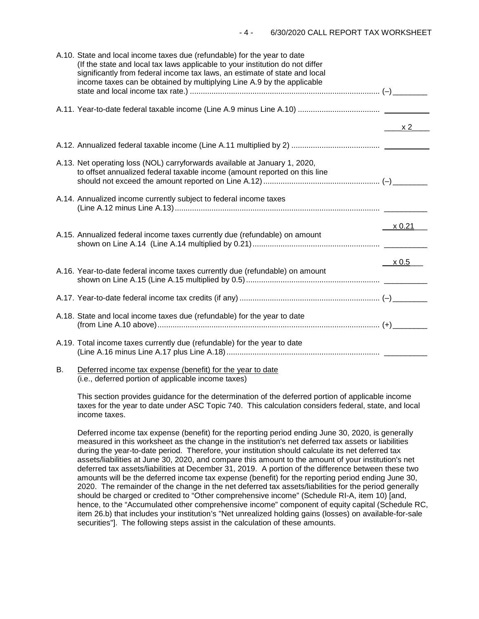| A.10. State and local income taxes due (refundable) for the year to date<br>(If the state and local tax laws applicable to your institution do not differ<br>significantly from federal income tax laws, an estimate of state and local<br>income taxes can be obtained by multiplying Line A.9 by the applicable |                |
|-------------------------------------------------------------------------------------------------------------------------------------------------------------------------------------------------------------------------------------------------------------------------------------------------------------------|----------------|
|                                                                                                                                                                                                                                                                                                                   |                |
|                                                                                                                                                                                                                                                                                                                   | $\frac{x2}{x}$ |
|                                                                                                                                                                                                                                                                                                                   |                |
| A.13. Net operating loss (NOL) carryforwards available at January 1, 2020,<br>to offset annualized federal taxable income (amount reported on this line                                                                                                                                                           |                |
| A.14. Annualized income currently subject to federal income taxes                                                                                                                                                                                                                                                 |                |
| A.15. Annualized federal income taxes currently due (refundable) on amount                                                                                                                                                                                                                                        | $\times 0.21$  |
| A.16. Year-to-date federal income taxes currently due (refundable) on amount                                                                                                                                                                                                                                      | x 0.5          |
|                                                                                                                                                                                                                                                                                                                   |                |
| A.18. State and local income taxes due (refundable) for the year to date                                                                                                                                                                                                                                          |                |
| A.19. Total income taxes currently due (refundable) for the year to date                                                                                                                                                                                                                                          |                |
| the contract of the contract of the contract of the contract of the contract of the contract of the contract of                                                                                                                                                                                                   |                |

#### B. Deferred income tax expense (benefit) for the year to date (i.e., deferred portion of applicable income taxes)

This section provides guidance for the determination of the deferred portion of applicable income taxes for the year to date under ASC Topic 740. This calculation considers federal, state, and local income taxes.

Deferred income tax expense (benefit) for the reporting period ending June 30, 2020, is generally measured in this worksheet as the change in the institution's net deferred tax assets or liabilities during the year-to-date period. Therefore, your institution should calculate its net deferred tax assets/liabilities at June 30, 2020, and compare this amount to the amount of your institution's net deferred tax assets/liabilities at December 31, 2019. A portion of the difference between these two amounts will be the deferred income tax expense (benefit) for the reporting period ending June 30, 2020. The remainder of the change in the net deferred tax assets/liabilities for the period generally should be charged or credited to "Other comprehensive income" (Schedule RI-A, item 10) [and, hence, to the "Accumulated other comprehensive income" component of equity capital (Schedule RC, item 26.b) that includes your institution's "Net unrealized holding gains (losses) on available-for-sale securities"]. The following steps assist in the calculation of these amounts.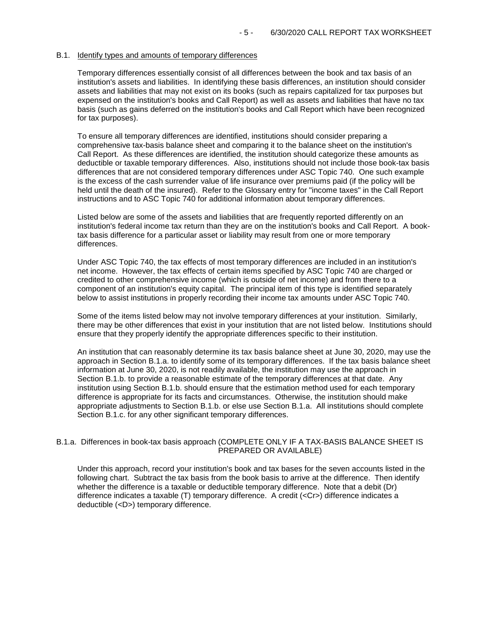### B.1. Identify types and amounts of temporary differences

Temporary differences essentially consist of all differences between the book and tax basis of an institution's assets and liabilities. In identifying these basis differences, an institution should consider assets and liabilities that may not exist on its books (such as repairs capitalized for tax purposes but expensed on the institution's books and Call Report) as well as assets and liabilities that have no tax basis (such as gains deferred on the institution's books and Call Report which have been recognized for tax purposes).

To ensure all temporary differences are identified, institutions should consider preparing a comprehensive tax-basis balance sheet and comparing it to the balance sheet on the institution's Call Report. As these differences are identified, the institution should categorize these amounts as deductible or taxable temporary differences. Also, institutions should not include those book-tax basis differences that are not considered temporary differences under ASC Topic 740. One such example is the excess of the cash surrender value of life insurance over premiums paid (if the policy will be held until the death of the insured). Refer to the Glossary entry for "income taxes" in the Call Report instructions and to ASC Topic 740 for additional information about temporary differences.

Listed below are some of the assets and liabilities that are frequently reported differently on an institution's federal income tax return than they are on the institution's books and Call Report. A booktax basis difference for a particular asset or liability may result from one or more temporary differences.

Under ASC Topic 740, the tax effects of most temporary differences are included in an institution's net income. However, the tax effects of certain items specified by ASC Topic 740 are charged or credited to other comprehensive income (which is outside of net income) and from there to a component of an institution's equity capital. The principal item of this type is identified separately below to assist institutions in properly recording their income tax amounts under ASC Topic 740.

Some of the items listed below may not involve temporary differences at your institution. Similarly, there may be other differences that exist in your institution that are not listed below. Institutions should ensure that they properly identify the appropriate differences specific to their institution.

An institution that can reasonably determine its tax basis balance sheet at June 30, 2020, may use the approach in Section B.1.a. to identify some of its temporary differences. If the tax basis balance sheet information at June 30, 2020, is not readily available, the institution may use the approach in Section B.1.b. to provide a reasonable estimate of the temporary differences at that date. Any institution using Section B.1.b. should ensure that the estimation method used for each temporary difference is appropriate for its facts and circumstances. Otherwise, the institution should make appropriate adjustments to Section B.1.b. or else use Section B.1.a. All institutions should complete Section B.1.c. for any other significant temporary differences.

### B.1.a. Differences in book-tax basis approach (COMPLETE ONLY IF A TAX-BASIS BALANCE SHEET IS PREPARED OR AVAILABLE)

Under this approach, record your institution's book and tax bases for the seven accounts listed in the following chart. Subtract the tax basis from the book basis to arrive at the difference. Then identify whether the difference is a taxable or deductible temporary difference. Note that a debit (Dr) difference indicates a taxable (T) temporary difference. A credit (<Cr>) difference indicates a deductible (<D>) temporary difference.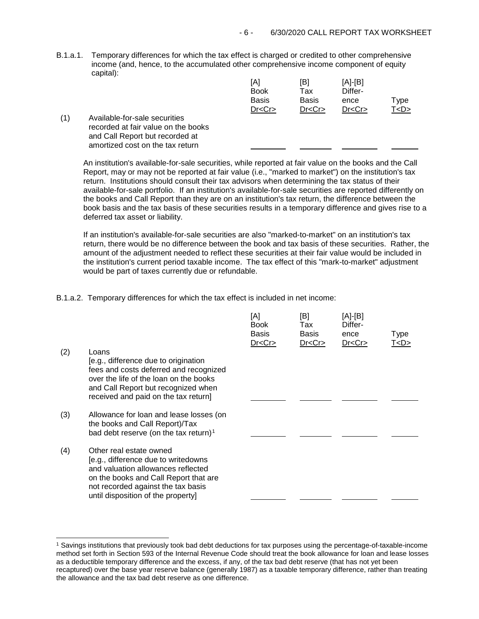B.1.a.1. Temporary differences for which the tax effect is charged or credited to other comprehensive income (and, hence, to the accumulated other comprehensive income component of equity capital):

|     |                                                                                                                                             | [A]<br><b>Book</b> | [B]<br>Tax   | [A]-[B]<br>Differ- |           |
|-----|---------------------------------------------------------------------------------------------------------------------------------------------|--------------------|--------------|--------------------|-----------|
|     |                                                                                                                                             | <b>Basis</b>       | <b>Basis</b> | ence               | туре      |
|     |                                                                                                                                             | Dr < Cr            | Dr < Cr      | Dr < Cr            | T <d></d> |
| (1) | Available-for-sale securities<br>recorded at fair value on the books<br>and Call Report but recorded at<br>amortized cost on the tax return |                    |              |                    |           |

An institution's available-for-sale securities, while reported at fair value on the books and the Call Report, may or may not be reported at fair value (i.e., "marked to market") on the institution's tax return. Institutions should consult their tax advisors when determining the tax status of their available-for-sale portfolio. If an institution's available-for-sale securities are reported differently on the books and Call Report than they are on an institution's tax return, the difference between the book basis and the tax basis of these securities results in a temporary difference and gives rise to a deferred tax asset or liability.

If an institution's available-for-sale securities are also "marked-to-market" on an institution's tax return, there would be no difference between the book and tax basis of these securities. Rather, the amount of the adjustment needed to reflect these securities at their fair value would be included in the institution's current period taxable income. The tax effect of this "mark-to-market" adjustment would be part of taxes currently due or refundable.

B.1.a.2. Temporary differences for which the tax effect is included in net income:

| (2) | Loans<br>[e.g., difference due to origination<br>fees and costs deferred and recognized<br>over the life of the loan on the books<br>and Call Report but recognized when<br>received and paid on the tax return]          | [A]<br><b>Book</b><br><b>Basis</b><br>Dr < Cr | [B]<br>Tax<br><b>Basis</b><br>Dr < Cr | [A]-[B]<br>Differ-<br>ence<br>Dr < Cr | Type<br>T <d></d> |
|-----|---------------------------------------------------------------------------------------------------------------------------------------------------------------------------------------------------------------------------|-----------------------------------------------|---------------------------------------|---------------------------------------|-------------------|
| (3) | Allowance for loan and lease losses (on<br>the books and Call Report)/Tax<br>bad debt reserve (on the tax return) <sup>1</sup>                                                                                            |                                               |                                       |                                       |                   |
| (4) | Other real estate owned<br>[e.g., difference due to writedowns<br>and valuation allowances reflected<br>on the books and Call Report that are<br>not recorded against the tax basis<br>until disposition of the property] |                                               |                                       |                                       |                   |

<span id="page-5-0"></span> <sup>1</sup> Savings institutions that previously took bad debt deductions for tax purposes using the percentage-of-taxable-income method set forth in Section 593 of the Internal Revenue Code should treat the book allowance for loan and lease losses as a deductible temporary difference and the excess, if any, of the tax bad debt reserve (that has not yet been recaptured) over the base year reserve balance (generally 1987) as a taxable temporary difference, rather than treating the allowance and the tax bad debt reserve as one difference.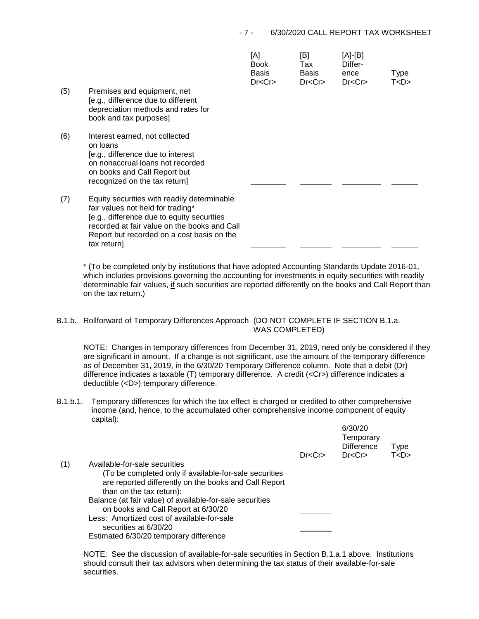## - 7 - 6/30/2020 CALL REPORT TAX WORKSHEET

| (5) | Premises and equipment, net<br>[e.g., difference due to different<br>depreciation methods and rates for<br>book and tax purposes]                                                                                                           | [A]<br><b>Book</b><br><b>Basis</b><br>Dr < Cr | [B]<br>Tax<br><b>Basis</b><br>Dr < Cr | [A]-[B]<br>Differ-<br>ence<br>Dr < Cr | Type<br><u>T<d></d></u> |
|-----|---------------------------------------------------------------------------------------------------------------------------------------------------------------------------------------------------------------------------------------------|-----------------------------------------------|---------------------------------------|---------------------------------------|-------------------------|
| (6) | Interest earned, not collected<br>on loans<br>[e.g., difference due to interest<br>on nonaccrual loans not recorded<br>on books and Call Report but<br>recognized on the tax return]                                                        |                                               |                                       |                                       |                         |
| (7) | Equity securities with readily determinable<br>fair values not held for trading*<br>[e.g., difference due to equity securities<br>recorded at fair value on the books and Call<br>Report but recorded on a cost basis on the<br>tax return] |                                               |                                       |                                       |                         |

\* (To be completed only by institutions that have adopted Accounting Standards Update 2016-01, which includes provisions governing the accounting for investments in equity securities with readily determinable fair values, if such securities are reported differently on the books and Call Report than on the tax return.)

# B.1.b. Rollforward of Temporary Differences Approach (DO NOT COMPLETE IF SECTION B.1.a. WAS COMPLETED)

NOTE: Changes in temporary differences from December 31, 2019, need only be considered if they are significant in amount. If a change is not significant, use the amount of the temporary difference as of December 31, 2019, in the 6/30/20 Temporary Difference column. Note that a debit (Dr) difference indicates a taxable (T) temporary difference. A credit (<Cr>) difference indicates a deductible (<D>) temporary difference.

B.1.b.1. Temporary differences for which the tax effect is charged or credited to other comprehensive income (and, hence, to the accumulated other comprehensive income component of equity capital): 6/30/20

|     |                                                                                                                                                                                                                                                                                                                                                                                                  | Dr < Cr | <u>UJUU ZU</u><br>Temporary<br><b>Difference</b><br>Dr < Cr | <b>Type</b><br>T < D > |  |
|-----|--------------------------------------------------------------------------------------------------------------------------------------------------------------------------------------------------------------------------------------------------------------------------------------------------------------------------------------------------------------------------------------------------|---------|-------------------------------------------------------------|------------------------|--|
| (1) | Available-for-sale securities<br>(To be completed only if available-for-sale securities<br>are reported differently on the books and Call Report<br>than on the tax return):<br>Balance (at fair value) of available-for-sale securities<br>on books and Call Report at 6/30/20<br>Less: Amortized cost of available-for-sale<br>securities at 6/30/20<br>Estimated 6/30/20 temporary difference |         |                                                             |                        |  |

NOTE: See the discussion of available-for-sale securities in Section B.1.a.1 above. Institutions should consult their tax advisors when determining the tax status of their available-for-sale securities.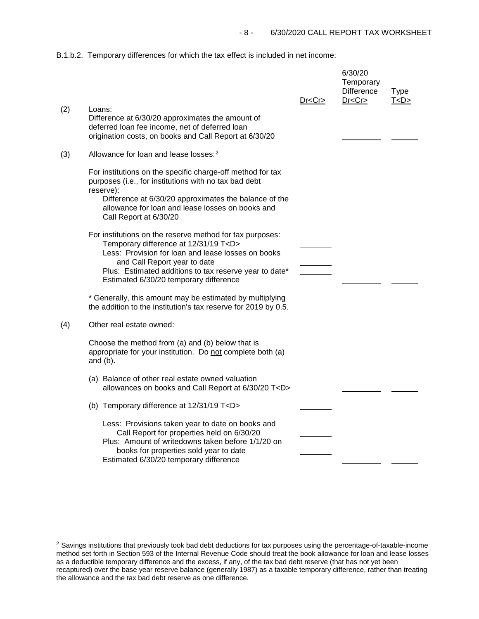B.1.b.2. Temporary differences for which the tax effect is included in net income:

|     |                                                                                                                                                                                                                                         | Dr < Cr | 6/30/20<br>Temporary<br><b>Difference</b><br>Dr < Cr | <b>Type</b><br>T < D > |
|-----|-----------------------------------------------------------------------------------------------------------------------------------------------------------------------------------------------------------------------------------------|---------|------------------------------------------------------|------------------------|
| (2) | Loans:<br>Difference at 6/30/20 approximates the amount of<br>deferred loan fee income, net of deferred loan<br>origination costs, on books and Call Report at 6/30/20                                                                  |         |                                                      |                        |
| (3) | Allowance for loan and lease losses: <sup>2</sup>                                                                                                                                                                                       |         |                                                      |                        |
|     | For institutions on the specific charge-off method for tax<br>purposes (i.e., for institutions with no tax bad debt<br>reserve):                                                                                                        |         |                                                      |                        |
|     | Difference at 6/30/20 approximates the balance of the<br>allowance for loan and lease losses on books and<br>Call Report at 6/30/20                                                                                                     |         |                                                      |                        |
|     | For institutions on the reserve method for tax purposes:<br>Temporary difference at 12/31/19 T <d><br/>Less: Provision for loan and lease losses on books<br/>and Call Report year to date</d>                                          |         |                                                      |                        |
|     | Plus: Estimated additions to tax reserve year to date*<br>Estimated 6/30/20 temporary difference                                                                                                                                        |         |                                                      |                        |
|     | * Generally, this amount may be estimated by multiplying<br>the addition to the institution's tax reserve for 2019 by 0.5.                                                                                                              |         |                                                      |                        |
| (4) | Other real estate owned:                                                                                                                                                                                                                |         |                                                      |                        |
|     | Choose the method from (a) and (b) below that is<br>appropriate for your institution. Do not complete both (a)<br>and (b).                                                                                                              |         |                                                      |                        |
|     | (a) Balance of other real estate owned valuation<br>allowances on books and Call Report at 6/30/20 T <d></d>                                                                                                                            |         |                                                      |                        |
|     | (b) Temporary difference at 12/31/19 T <d></d>                                                                                                                                                                                          |         |                                                      |                        |
|     | Less: Provisions taken year to date on books and<br>Call Report for properties held on 6/30/20<br>Plus: Amount of writedowns taken before 1/1/20 on<br>books for properties sold year to date<br>Estimated 6/30/20 temporary difference |         |                                                      |                        |

<span id="page-7-0"></span><sup>&</sup>lt;sup>2</sup> Savings institutions that previously took bad debt deductions for tax purposes using the percentage-of-taxable-income method set forth in Section 593 of the Internal Revenue Code should treat the book allowance for loan and lease losses as a deductible temporary difference and the excess, if any, of the tax bad debt reserve (that has not yet been recaptured) over the base year reserve balance (generally 1987) as a taxable temporary difference, rather than treating the allowance and the tax bad debt reserve as one difference.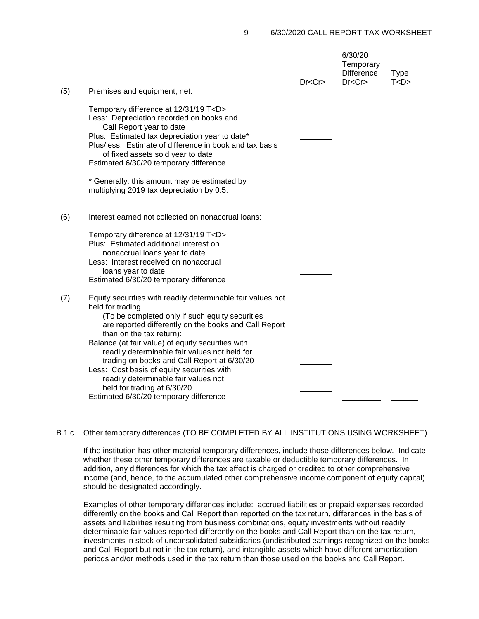| (5) | Premises and equipment, net:                                                                                                                                                                                                                                                                                                                                                                                                                                                                                                                | Dr < Cr | 6/30/20<br>Temporary<br><b>Difference</b><br>Dr < Cr | <b>Type</b><br>T < D > |
|-----|---------------------------------------------------------------------------------------------------------------------------------------------------------------------------------------------------------------------------------------------------------------------------------------------------------------------------------------------------------------------------------------------------------------------------------------------------------------------------------------------------------------------------------------------|---------|------------------------------------------------------|------------------------|
|     | Temporary difference at 12/31/19 T <d><br/>Less: Depreciation recorded on books and<br/>Call Report year to date<br/>Plus: Estimated tax depreciation year to date*<br/>Plus/less: Estimate of difference in book and tax basis<br/>of fixed assets sold year to date<br/>Estimated 6/30/20 temporary difference<br/>* Generally, this amount may be estimated by<br/>multiplying 2019 tax depreciation by 0.5.</d>                                                                                                                         |         |                                                      |                        |
| (6) | Interest earned not collected on nonaccrual loans:<br>Temporary difference at 12/31/19 T <d><br/>Plus: Estimated additional interest on<br/>nonaccrual loans year to date<br/>Less: Interest received on nonaccrual<br/>loans year to date<br/>Estimated 6/30/20 temporary difference</d>                                                                                                                                                                                                                                                   |         |                                                      |                        |
| (7) | Equity securities with readily determinable fair values not<br>held for trading<br>(To be completed only if such equity securities<br>are reported differently on the books and Call Report<br>than on the tax return):<br>Balance (at fair value) of equity securities with<br>readily determinable fair values not held for<br>trading on books and Call Report at 6/30/20<br>Less: Cost basis of equity securities with<br>readily determinable fair values not<br>held for trading at 6/30/20<br>Estimated 6/30/20 temporary difference |         |                                                      |                        |

## B.1.c. Other temporary differences (TO BE COMPLETED BY ALL INSTITUTIONS USING WORKSHEET)

If the institution has other material temporary differences, include those differences below. Indicate whether these other temporary differences are taxable or deductible temporary differences. In addition, any differences for which the tax effect is charged or credited to other comprehensive income (and, hence, to the accumulated other comprehensive income component of equity capital) should be designated accordingly.

Examples of other temporary differences include: accrued liabilities or prepaid expenses recorded differently on the books and Call Report than reported on the tax return, differences in the basis of assets and liabilities resulting from business combinations, equity investments without readily determinable fair values reported differently on the books and Call Report than on the tax return, investments in stock of unconsolidated subsidiaries (undistributed earnings recognized on the books and Call Report but not in the tax return), and intangible assets which have different amortization periods and/or methods used in the tax return than those used on the books and Call Report.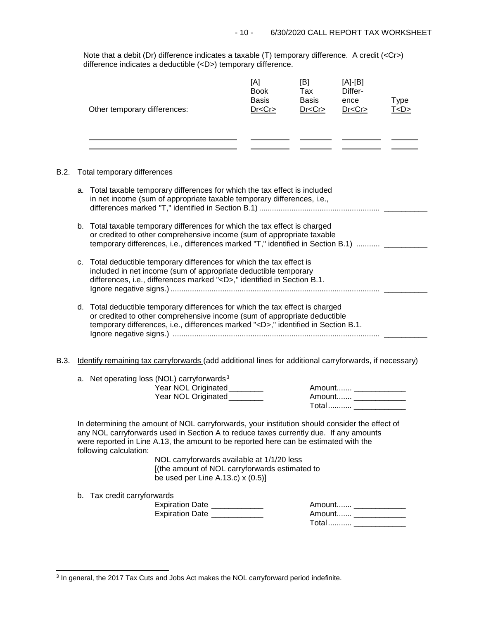Note that a debit (Dr) difference indicates a taxable (T) temporary difference. A credit (<Cr>) difference indicates a deductible (<D>) temporary difference.

| Other temporary differences: | [A]<br><b>Book</b><br><b>Basis</b><br>Dr < Cr | [B]<br>Tax<br><b>Basis</b><br>Dr < Cr | $[A]-[B]$<br>Differ-<br>ence<br>Dr < Cr | Type<br>T < D > |
|------------------------------|-----------------------------------------------|---------------------------------------|-----------------------------------------|-----------------|
|                              |                                               |                                       |                                         |                 |

# B.2. Total temporary differences

|      |                             | a. Total taxable temporary differences for which the tax effect is included<br>in net income (sum of appropriate taxable temporary differences, i.e.,                                                                                               |                                                                                                                                                                                         |
|------|-----------------------------|-----------------------------------------------------------------------------------------------------------------------------------------------------------------------------------------------------------------------------------------------------|-----------------------------------------------------------------------------------------------------------------------------------------------------------------------------------------|
|      |                             | b. Total taxable temporary differences for which the tax effect is charged<br>or credited to other comprehensive income (sum of appropriate taxable                                                                                                 | temporary differences, i.e., differences marked "T," identified in Section B.1)                                                                                                         |
|      |                             | c. Total deductible temporary differences for which the tax effect is<br>included in net income (sum of appropriate deductible temporary<br>differences, i.e., differences marked " <d>," identified in Section B.1.</d>                            |                                                                                                                                                                                         |
|      |                             | d. Total deductible temporary differences for which the tax effect is charged<br>or credited to other comprehensive income (sum of appropriate deductible<br>temporary differences, i.e., differences marked " <d>," identified in Section B.1.</d> |                                                                                                                                                                                         |
| B.3. |                             |                                                                                                                                                                                                                                                     | Identify remaining tax carryforwards (add additional lines for additional carryforwards, if necessary)                                                                                  |
|      |                             | a. Net operating loss (NOL) carryforwards <sup>3</sup><br>Year NOL Originated_______<br>Year NOL Originated                                                                                                                                         | Amount _______________<br>Amount _______________<br>Total _____________                                                                                                                 |
|      | following calculation:      | were reported in Line A.13, the amount to be reported here can be estimated with the<br>NOL carryforwards available at 1/1/20 less<br>[(the amount of NOL carryforwards estimated to<br>be used per Line A.13.c) $x(0.5)$ ]                         | In determining the amount of NOL carryforwards, your institution should consider the effect of<br>any NOL carryforwards used in Section A to reduce taxes currently due. If any amounts |
|      | b. Tax credit carryforwards |                                                                                                                                                                                                                                                     |                                                                                                                                                                                         |

<span id="page-9-0"></span> <sup>3</sup> In general, the 2017 Tax Cuts and Jobs Act makes the NOL carryforward period indefinite.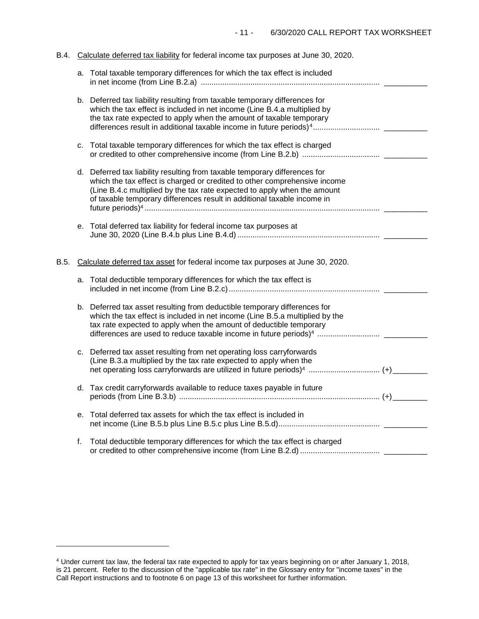# B.4. Calculate deferred tax liability for federal income tax purposes at June 30, 2020.

|      |    | a. Total taxable temporary differences for which the tax effect is included                                                                                                                                                                                                                                    |  |
|------|----|----------------------------------------------------------------------------------------------------------------------------------------------------------------------------------------------------------------------------------------------------------------------------------------------------------------|--|
|      |    | b. Deferred tax liability resulting from taxable temporary differences for<br>which the tax effect is included in net income (Line B.4.a multiplied by<br>the tax rate expected to apply when the amount of taxable temporary                                                                                  |  |
|      |    | c. Total taxable temporary differences for which the tax effect is charged                                                                                                                                                                                                                                     |  |
|      |    | d. Deferred tax liability resulting from taxable temporary differences for<br>which the tax effect is charged or credited to other comprehensive income<br>(Line B.4.c multiplied by the tax rate expected to apply when the amount<br>of taxable temporary differences result in additional taxable income in |  |
|      |    | e. Total deferred tax liability for federal income tax purposes at                                                                                                                                                                                                                                             |  |
| B.5. |    | Calculate deferred tax asset for federal income tax purposes at June 30, 2020.                                                                                                                                                                                                                                 |  |
|      |    | a. Total deductible temporary differences for which the tax effect is                                                                                                                                                                                                                                          |  |
|      |    | b. Deferred tax asset resulting from deductible temporary differences for<br>which the tax effect is included in net income (Line B.5.a multiplied by the<br>tax rate expected to apply when the amount of deductible temporary                                                                                |  |
|      | c. | Deferred tax asset resulting from net operating loss carryforwards<br>(Line B.3.a multiplied by the tax rate expected to apply when the<br>net operating loss carryforwards are utilized in future periods) <sup>4</sup> (+)                                                                                   |  |
|      |    | d. Tax credit carryforwards available to reduce taxes payable in future                                                                                                                                                                                                                                        |  |
|      | e. | Total deferred tax assets for which the tax effect is included in                                                                                                                                                                                                                                              |  |
|      | f. | Total deductible temporary differences for which the tax effect is charged                                                                                                                                                                                                                                     |  |

-

<span id="page-10-0"></span><sup>4</sup> Under current tax law, the federal tax rate expected to apply for tax years beginning on or after January 1, 2018, is 21 percent. Refer to the discussion of the "applicable tax rate" in the Glossary entry for "income taxes" in the Call Report instructions and to footnote 6 on page 13 of this worksheet for further information.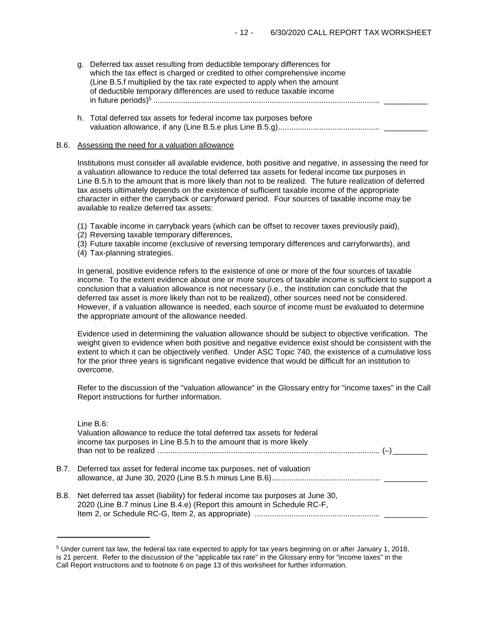- g. Deferred tax asset resulting from deductible temporary differences for which the tax effect is charged or credited to other comprehensive income (Line B.5.f multiplied by the tax rate expected to apply when the amount of deductible temporary differences are used to reduce taxable income in future periods)5 ......................................................................................................... \_\_\_\_\_\_\_\_\_\_
- h. Total deferred tax assets for federal income tax purposes before valuation allowance, if any (Line B.5.e plus Line B.5.g)............................................... \_\_\_\_\_\_\_\_\_\_

#### B.6. Assessing the need for a valuation allowance

Institutions must consider all available evidence, both positive and negative, in assessing the need for a valuation allowance to reduce the total deferred tax assets for federal income tax purposes in Line B.5.h to the amount that is more likely than not to be realized. The future realization of deferred tax assets ultimately depends on the existence of sufficient taxable income of the appropriate character in either the carryback or carryforward period. Four sources of taxable income may be available to realize deferred tax assets:

- (1) Taxable income in carryback years (which can be offset to recover taxes previously paid),
- (2) Reversing taxable temporary differences,
- (3) Future taxable income (exclusive of reversing temporary differences and carryforwards), and
- (4) Tax-planning strategies.

In general, positive evidence refers to the existence of one or more of the four sources of taxable income. To the extent evidence about one or more sources of taxable income is sufficient to support a conclusion that a valuation allowance is not necessary (i.e., the institution can conclude that the deferred tax asset is more likely than not to be realized), other sources need not be considered. However, if a valuation allowance is needed, each source of income must be evaluated to determine the appropriate amount of the allowance needed.

Evidence used in determining the valuation allowance should be subject to objective verification. The weight given to evidence when both positive and negative evidence exist should be consistent with the extent to which it can be objectively verified. Under ASC Topic 740, the existence of a cumulative loss for the prior three years is significant negative evidence that would be difficult for an institution to overcome.

Refer to the discussion of the "valuation allowance" in the Glossary entry for "income taxes" in the Call Report instructions for further information.

| Line B.6:<br>Valuation allowance to reduce the total deferred tax assets for federal<br>income tax purposes in Line B.5.h to the amount that is more likely   |
|---------------------------------------------------------------------------------------------------------------------------------------------------------------|
| B.7. Deferred tax asset for federal income tax purposes, net of valuation                                                                                     |
| B.8. Net deferred tax asset (liability) for federal income tax purposes at June 30,<br>2020 (Line B.7 minus Line B.4.e) (Report this amount in Schedule RC-F, |

<sup>5</sup> Under current tax law, the federal tax rate expected to apply for tax years beginning on or after January 1, 2018, is 21 percent. Refer to the discussion of the "applicable tax rate" in the Glossary entry for "income taxes" in the Call Report instructions and to footnote 6 on page 13 of this worksheet for further information.